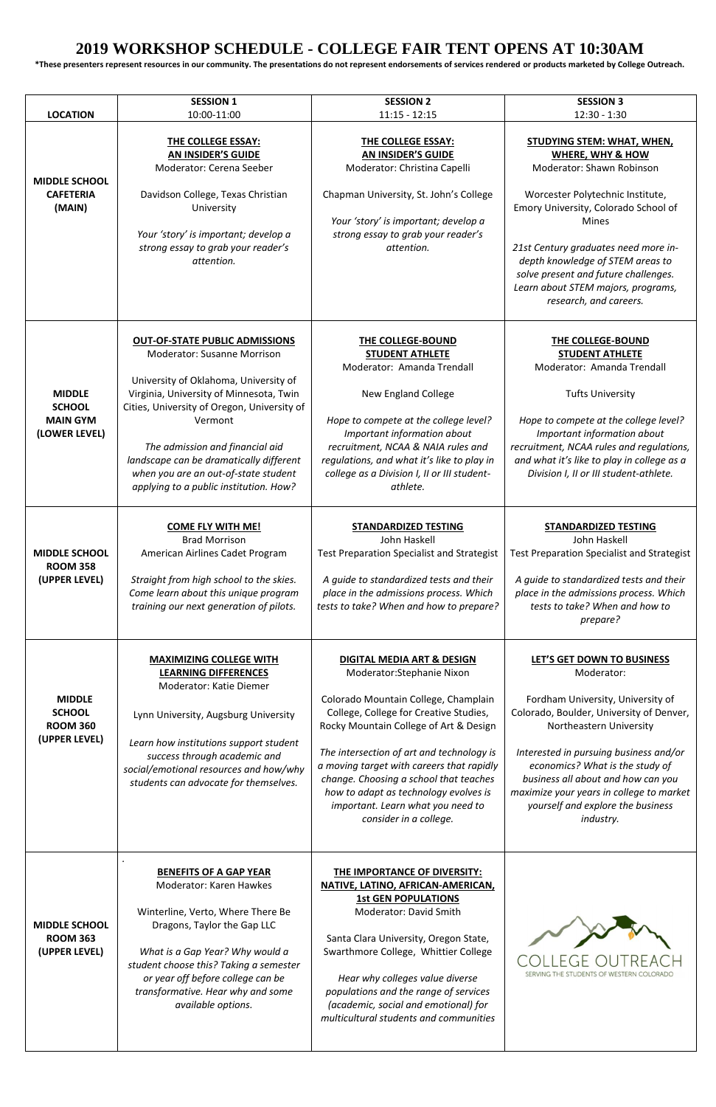## **2019 WORKSHOP SCHEDULE - COLLEGE FAIR TENT OPENS AT 10:30AM**

**\*These presenters represent resources in our community. The presentations do not represent endorsements of services rendered or products marketed by College Outreach.** 

|                                                                    | <b>SESSION 1</b>                                                                                                                                                                                                                                                                                                                                                                          | <b>SESSION 2</b>                                                                                                                                                                                                                                                                                                                                                                                                                            | <b>SESSION 3</b>                                                                                                                                                                                                                                                                                                                                                              |
|--------------------------------------------------------------------|-------------------------------------------------------------------------------------------------------------------------------------------------------------------------------------------------------------------------------------------------------------------------------------------------------------------------------------------------------------------------------------------|---------------------------------------------------------------------------------------------------------------------------------------------------------------------------------------------------------------------------------------------------------------------------------------------------------------------------------------------------------------------------------------------------------------------------------------------|-------------------------------------------------------------------------------------------------------------------------------------------------------------------------------------------------------------------------------------------------------------------------------------------------------------------------------------------------------------------------------|
| <b>LOCATION</b>                                                    | 10:00-11:00                                                                                                                                                                                                                                                                                                                                                                               | $11:15 - 12:15$                                                                                                                                                                                                                                                                                                                                                                                                                             | $12:30 - 1:30$                                                                                                                                                                                                                                                                                                                                                                |
| <b>MIDDLE SCHOOL</b><br><b>CAFETERIA</b><br>(MAIN)                 | <b>THE COLLEGE ESSAY:</b><br>AN INSIDER'S GUIDE<br>Moderator: Cerena Seeber<br>Davidson College, Texas Christian<br>University<br>Your 'story' is important; develop a<br>strong essay to grab your reader's<br>attention.                                                                                                                                                                | THE COLLEGE ESSAY:<br><b>AN INSIDER'S GUIDE</b><br>Moderator: Christina Capelli<br>Chapman University, St. John's College<br>Your 'story' is important; develop a<br>strong essay to grab your reader's<br>attention.                                                                                                                                                                                                                       | <b>STUDYING STEM: WHAT, WHEN,</b><br><b>WHERE, WHY &amp; HOW</b><br>Moderator: Shawn Robinson<br>Worcester Polytechnic Institute,<br>Emory University, Colorado School of<br><b>Mines</b><br>21st Century graduates need more in-<br>depth knowledge of STEM areas to<br>solve present and future challenges.<br>Learn about STEM majors, programs,<br>research, and careers. |
| <b>MIDDLE</b><br><b>SCHOOL</b><br><b>MAIN GYM</b><br>(LOWER LEVEL) | <b>OUT-OF-STATE PUBLIC ADMISSIONS</b><br><b>Moderator: Susanne Morrison</b><br>University of Oklahoma, University of<br>Virginia, University of Minnesota, Twin<br>Cities, University of Oregon, University of<br>Vermont<br>The admission and financial aid<br>landscape can be dramatically different<br>when you are an out-of-state student<br>applying to a public institution. How? | THE COLLEGE-BOUND<br><b>STUDENT ATHLETE</b><br>Moderator: Amanda Trendall<br><b>New England College</b><br>Hope to compete at the college level?<br>Important information about<br>recruitment, NCAA & NAIA rules and<br>regulations, and what it's like to play in<br>college as a Division I, II or III student-<br>athlete.                                                                                                              | THE COLLEGE-BOUND<br><b>STUDENT ATHLETE</b><br>Moderator: Amanda Trendall<br><b>Tufts University</b><br>Hope to compete at the college level?<br>Important information about<br>recruitment, NCAA rules and regulations,<br>and what it's like to play in college as a<br>Division I, II or III student-athlete.                                                              |
| <b>MIDDLE SCHOOL</b><br><b>ROOM 358</b><br>(UPPER LEVEL)           | <b>COME FLY WITH ME!</b><br><b>Brad Morrison</b><br>American Airlines Cadet Program<br>Straight from high school to the skies.<br>Come learn about this unique program<br>training our next generation of pilots.                                                                                                                                                                         | <b>STANDARDIZED TESTING</b><br>John Haskell<br>Test Preparation Specialist and Strategist<br>A guide to standardized tests and their<br>place in the admissions process. Which<br>tests to take? When and how to prepare?                                                                                                                                                                                                                   | <b>STANDARDIZED TESTING</b><br>John Haskell<br><b>Test Preparation Specialist and Strategist</b><br>A guide to standardized tests and their<br>place in the admissions process. Which<br>tests to take? When and how to<br>prepare?                                                                                                                                           |
| <b>MIDDLE</b><br><b>SCHOOL</b><br><b>ROOM 360</b><br>(UPPER LEVEL) | <b>MAXIMIZING COLLEGE WITH</b><br><b>LEARNING DIFFERENCES</b><br>Moderator: Katie Diemer<br>Lynn University, Augsburg University<br>Learn how institutions support student<br>success through academic and<br>social/emotional resources and how/why<br>students can advocate for themselves.                                                                                             | <b>DIGITAL MEDIA ART &amp; DESIGN</b><br>Moderator: Stephanie Nixon<br>Colorado Mountain College, Champlain<br>College, College for Creative Studies,<br>Rocky Mountain College of Art & Design<br>The intersection of art and technology is<br>a moving target with careers that rapidly<br>change. Choosing a school that teaches<br>how to adapt as technology evolves is<br>important. Learn what you need to<br>consider in a college. | LET'S GET DOWN TO BUSINESS<br>Moderator:<br>Fordham University, University of<br>Colorado, Boulder, University of Denver,<br>Northeastern University<br>Interested in pursuing business and/or<br>economics? What is the study of<br>business all about and how can you<br>maximize your years in college to market<br>yourself and explore the business<br>industry.         |
| <b>MIDDLE SCHOOL</b><br><b>ROOM 363</b><br>(UPPER LEVEL)           | <b>BENEFITS OF A GAP YEAR</b><br><b>Moderator: Karen Hawkes</b><br>Winterline, Verto, Where There Be<br>Dragons, Taylor the Gap LLC<br>What is a Gap Year? Why would a<br>student choose this? Taking a semester<br>or year off before college can be<br>transformative. Hear why and some<br>available options.                                                                          | THE IMPORTANCE OF DIVERSITY:<br>NATIVE, LATINO, AFRICAN-AMERICAN,<br><b>1st GEN POPULATIONS</b><br><b>Moderator: David Smith</b><br>Santa Clara University, Oregon State,<br>Swarthmore College, Whittier College<br>Hear why colleges value diverse<br>populations and the range of services<br>(academic, social and emotional) for<br>multicultural students and communities                                                             | SERVING THE STUDENTS OF WESTERN COLORADO                                                                                                                                                                                                                                                                                                                                      |